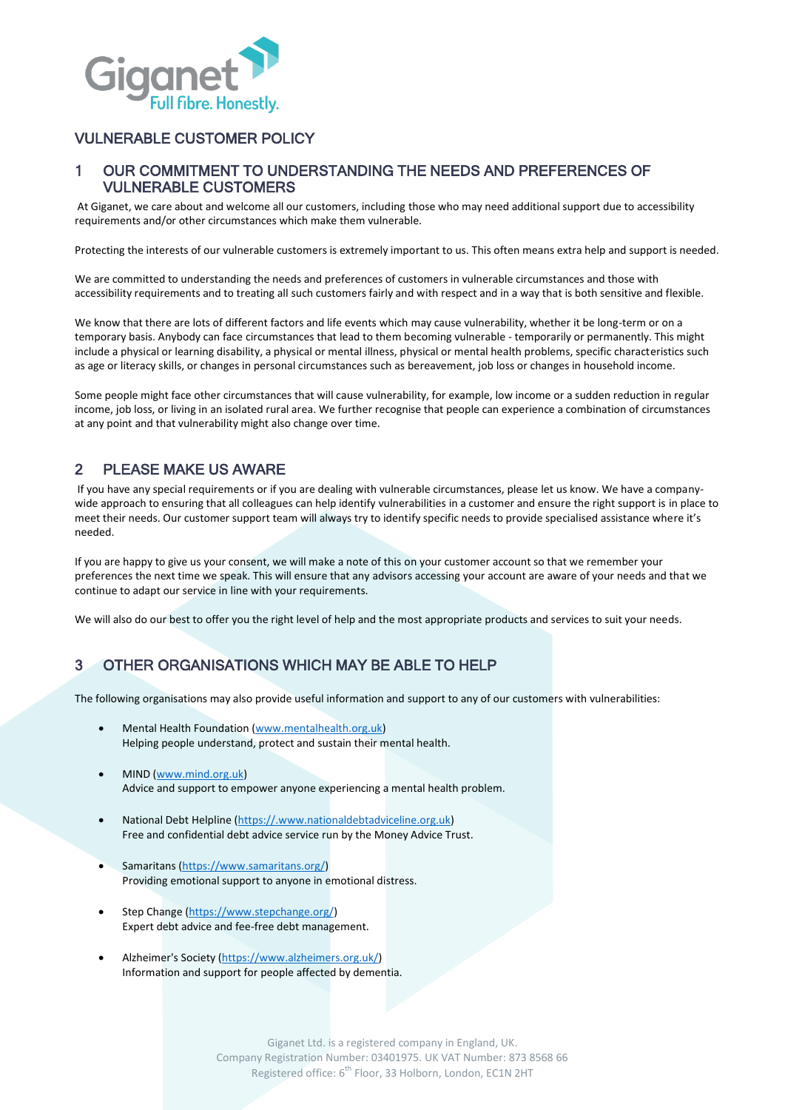

#### VULNERABLE CUSTOMER POLICY

#### 1 OUR COMMITMENT TO UNDERSTANDING THE NEEDS AND PREFERENCES OF VULNERABLE CUSTOMERS

At Giganet, we care about and welcome all our customers, including those who may need additional support due to accessibility requirements and/or other circumstances which make them vulnerable.

Protecting the interests of our vulnerable customers is extremely important to us. This often means extra help and support is needed.

We are committed to understanding the needs and preferences of customers in vulnerable circumstances and those with accessibility requirements and to treating all such customers fairly and with respect and in a way that is both sensitive and flexible.

We know that there are lots of different factors and life events which may cause vulnerability, whether it be long-term or on a temporary basis. Anybody can face circumstances that lead to them becoming vulnerable - temporarily or permanently. This might include a physical or learning disability, a physical or mental illness, physical or mental health problems, specific characteristics such as age or literacy skills, or changes in personal circumstances such as bereavement, job loss or changes in household income.

Some people might face other circumstances that will cause vulnerability, for example, low income or a sudden reduction in regular income, job loss, or living in an isolated rural area. We further recognise that people can experience a combination of circumstances at any point and that vulnerability might also change over time.

### 2 PLEASE MAKE US AWARE

If you have any special requirements or if you are dealing with vulnerable circumstances, please let us know. We have a companywide approach to ensuring that all colleagues can help identify vulnerabilities in a customer and ensure the right support is in place to meet their needs. Our customer support team will always try to identify specific needs to provide specialised assistance where it's needed.

If you are happy to give us your consent, we will make a note of this on your customer account so that we remember your preferences the next time we speak. This will ensure that any advisors accessing your account are aware of your needs and that we continue to adapt our service in line with your requirements.

We will also do our best to offer you the right level of help and the most appropriate products and services to suit your needs.

## 3 OTHER ORGANISATIONS WHICH MAY BE ABLE TO HELP

The following organisations may also provide useful information and support to any of our customers with vulnerabilities:

- Mental Health Foundation [\(www.mentalhealth.org.uk\)](http://www.mentalhealth.org.uk/) Helping people understand, protect and sustain their mental health.
- MIND [\(www.mind.org.uk\)](http://www.mind.org.uk/) Advice and support to empower anyone experiencing a mental health problem.
- National Debt Helpline [\(https://.www.nationaldebtadviceline.org.uk\)](https://.www.nationaldebtadviceline.org.uk/) Free and confidential debt advice service run by the Money Advice Trust.
- Samaritans [\(https://www.samaritans.org/\)](https://www.samaritans.org/) Providing emotional support to anyone in emotional distress.
- Step Change [\(https://www.stepchange.org/\)](https://www.stepchange.org/) Expert debt advice and fee-free debt management.
- Alzheimer's Society [\(https://www.alzheimers.org.uk/\)](https://www.alzheimers.org.uk/) Information and support for people affected by dementia.

Giganet Ltd. is a registered company in England, UK. Company Registration Number: 03401975. UK VAT Number: 873 8568 66 Registered office: 6<sup>th</sup> Floor, 33 Holborn, London, EC1N 2HT